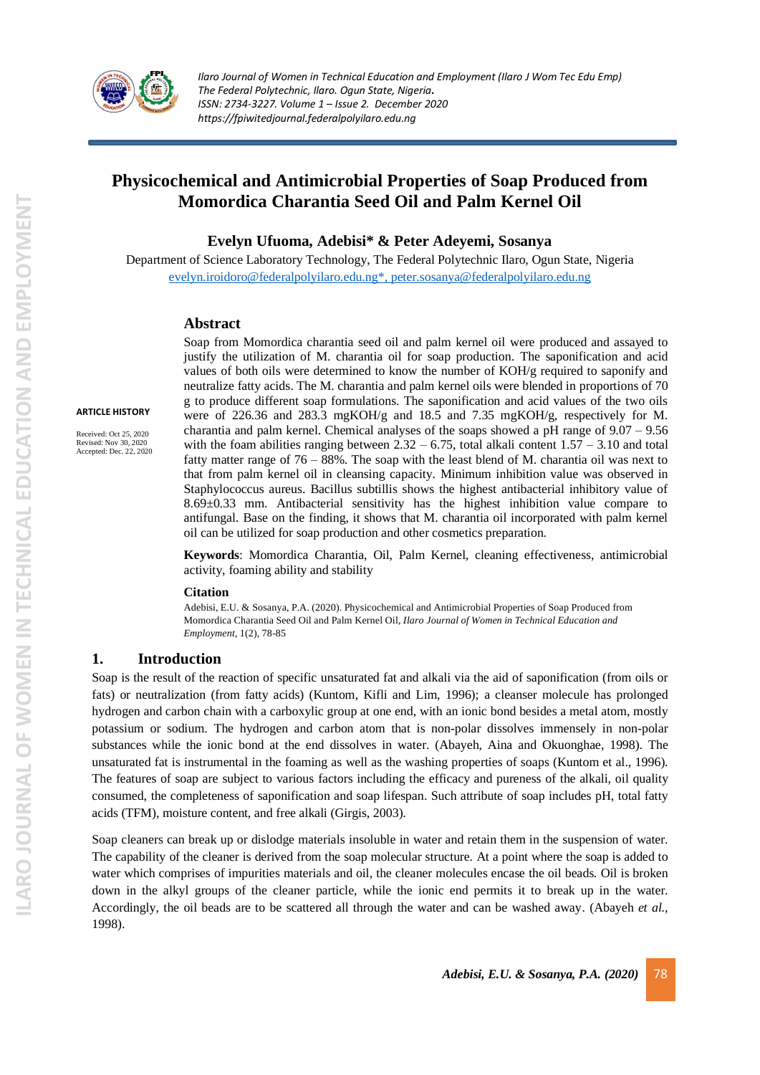

# **Physicochemical and Antimicrobial Properties of Soap Produced from Momordica Charantia Seed Oil and Palm Kernel Oil**

**Evelyn Ufuoma, Adebisi\* & Peter Adeyemi, Sosanya** 

Department of Science Laboratory Technology, The Federal Polytechnic Ilaro, Ogun State, Nigeria [evelyn.iroidoro@federalpolyilaro.edu.ng\\*,](mailto:evelyn.iroidoro@federalpolyilaro.edu.ng*) peter.sosanya@federalpolyilaro.edu.ng

#### **Abstract**

**ARTICLE HISTORY**

Received: Oct 25, 2020 Revised: Nov 30, 2020 Accepted: Dec. 22, 2020

Soap from Momordica charantia seed oil and palm kernel oil were produced and assayed to justify the utilization of M. charantia oil for soap production. The saponification and acid values of both oils were determined to know the number of KOH/g required to saponify and neutralize fatty acids. The M. charantia and palm kernel oils were blended in proportions of 70 g to produce different soap formulations. The saponification and acid values of the two oils were of 226.36 and 283.3 mgKOH/g and 18.5 and 7.35 mgKOH/g, respectively for M. charantia and palm kernel. Chemical analyses of the soaps showed a pH range of  $9.07 - 9.56$ with the foam abilities ranging between  $2.32 - 6.75$ , total alkali content  $1.57 - 3.10$  and total fatty matter range of 76 – 88%. The soap with the least blend of M. charantia oil was next to that from palm kernel oil in cleansing capacity. Minimum inhibition value was observed in Staphylococcus aureus. Bacillus subtillis shows the highest antibacterial inhibitory value of 8.69±0.33 mm. Antibacterial sensitivity has the highest inhibition value compare to antifungal. Base on the finding, it shows that M. charantia oil incorporated with palm kernel oil can be utilized for soap production and other cosmetics preparation.

**Keywords**: Momordica Charantia, Oil, Palm Kernel, cleaning effectiveness, antimicrobial activity, foaming ability and stability

#### **Citation**

Adebisi, E.U. & Sosanya, P.A. (2020). Physicochemical and Antimicrobial Properties of Soap Produced from Momordica Charantia Seed Oil and Palm Kernel Oil, *Ilaro Journal of Women in Technical Education and Employment*, 1(2), 78-85

# **1. Introduction**

Soap is the result of the reaction of specific unsaturated fat and alkali via the aid of saponification (from oils or fats) or neutralization (from fatty acids) (Kuntom, Kifli and Lim, 1996); a cleanser molecule has prolonged hydrogen and carbon chain with a carboxylic group at one end, with an ionic bond besides a metal atom, mostly potassium or sodium. The hydrogen and carbon atom that is non-polar dissolves immensely in non-polar substances while the ionic bond at the end dissolves in water. (Abayeh, Aina and Okuonghae, 1998). The unsaturated fat is instrumental in the foaming as well as the washing properties of soaps (Kuntom et al., 1996). The features of soap are subject to various factors including the efficacy and pureness of the alkali, oil quality consumed, the completeness of saponification and soap lifespan. Such attribute of soap includes pH, total fatty acids (TFM), moisture content, and free alkali (Girgis, 2003).

Soap cleaners can break up or dislodge materials insoluble in water and retain them in the suspension of water. The capability of the cleaner is derived from the soap molecular structure. At a point where the soap is added to water which comprises of impurities materials and oil, the cleaner molecules encase the oil beads. Oil is broken down in the alkyl groups of the cleaner particle, while the ionic end permits it to break up in the water. Accordingly, the oil beads are to be scattered all through the water and can be washed away. (Abayeh *et al.*, 1998).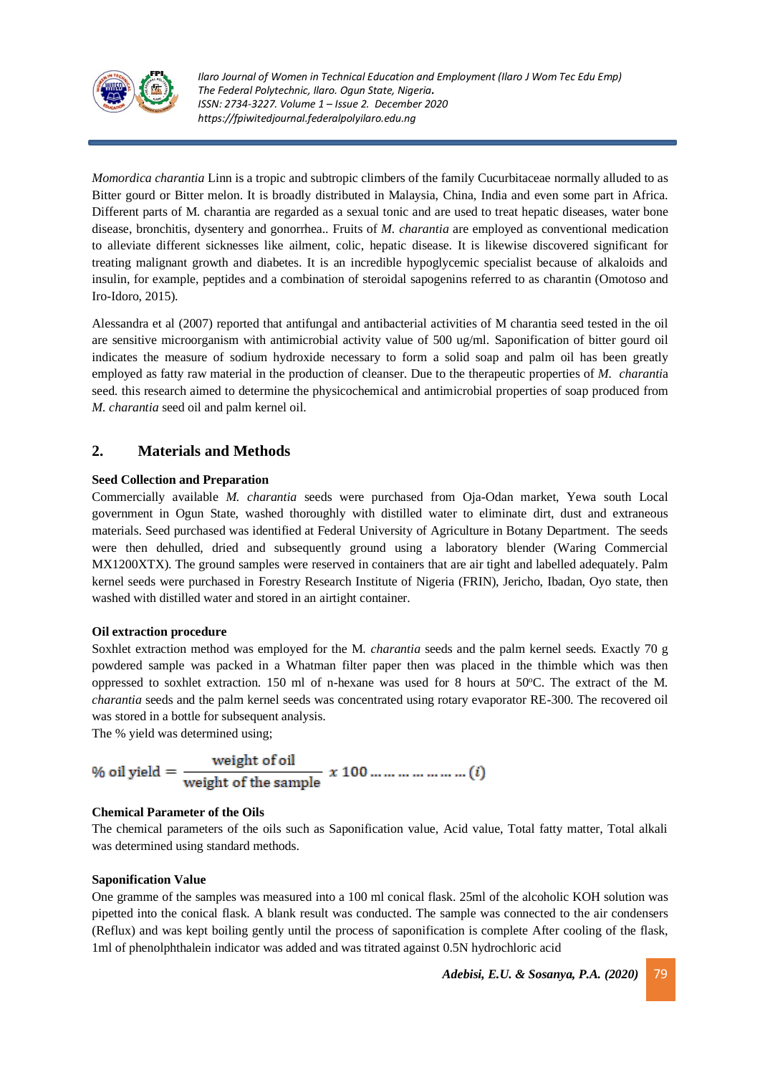

*Momordica charantia* Linn is a tropic and subtropic climbers of the family Cucurbitaceae normally alluded to as Bitter gourd or Bitter melon. It is broadly distributed in Malaysia, China, India and even some part in Africa. Different parts of M. charantia are regarded as a sexual tonic and are used to treat hepatic diseases, water bone disease, bronchitis, dysentery and gonorrhea.. Fruits of *M. charantia* are employed as conventional medication to alleviate different sicknesses like ailment, colic, hepatic disease. It is likewise discovered significant for treating malignant growth and diabetes. It is an incredible hypoglycemic specialist because of alkaloids and insulin, for example, peptides and a combination of steroidal sapogenins referred to as charantin (Omotoso and Iro-Idoro, 2015).

Alessandra et al (2007) reported that antifungal and antibacterial activities of M charantia seed tested in the oil are sensitive microorganism with antimicrobial activity value of 500 ug/ml. Saponification of bitter gourd oil indicates the measure of sodium hydroxide necessary to form a solid soap and palm oil has been greatly employed as fatty raw material in the production of cleanser. Due to the therapeutic properties of *M. charanti*a seed. this research aimed to determine the physicochemical and antimicrobial properties of soap produced from *M. charantia* seed oil and palm kernel oil.

# **2. Materials and Methods**

# **Seed Collection and Preparation**

Commercially available *M. charantia* seeds were purchased from Oja-Odan market, Yewa south Local government in Ogun State, washed thoroughly with distilled water to eliminate dirt, dust and extraneous materials. Seed purchased was identified at Federal University of Agriculture in Botany Department. The seeds were then dehulled, dried and subsequently ground using a laboratory blender (Waring Commercial MX1200XTX). The ground samples were reserved in containers that are air tight and labelled adequately. Palm kernel seeds were purchased in Forestry Research Institute of Nigeria (FRIN), Jericho, Ibadan, Oyo state, then washed with distilled water and stored in an airtight container.

#### **Oil extraction procedure**

Soxhlet extraction method was employed for the M. *charantia* seeds and the palm kernel seeds. Exactly 70 g powdered sample was packed in a Whatman filter paper then was placed in the thimble which was then oppressed to soxhlet extraction. 150 ml of n-hexane was used for 8 hours at  $50^{\circ}$ C. The extract of the M. *charantia* seeds and the palm kernel seeds was concentrated using rotary evaporator RE-300. The recovered oil was stored in a bottle for subsequent analysis.

The % yield was determined using;

$$
\% \text{ oil yield} = \frac{\text{weight of oil}}{\text{weight of the sample}} \times 100 \dots \dots \dots \dots \dots \dots \dots \dots (i)
$$

# **Chemical Parameter of the Oils**

The chemical parameters of the oils such as Saponification value, Acid value, Total fatty matter, Total alkali was determined using standard methods.

#### **Saponification Value**

One gramme of the samples was measured into a 100 ml conical flask. 25ml of the alcoholic KOH solution was pipetted into the conical flask. A blank result was conducted. The sample was connected to the air condensers (Reflux) and was kept boiling gently until the process of saponification is complete After cooling of the flask, 1ml of phenolphthalein indicator was added and was titrated against 0.5N hydrochloric acid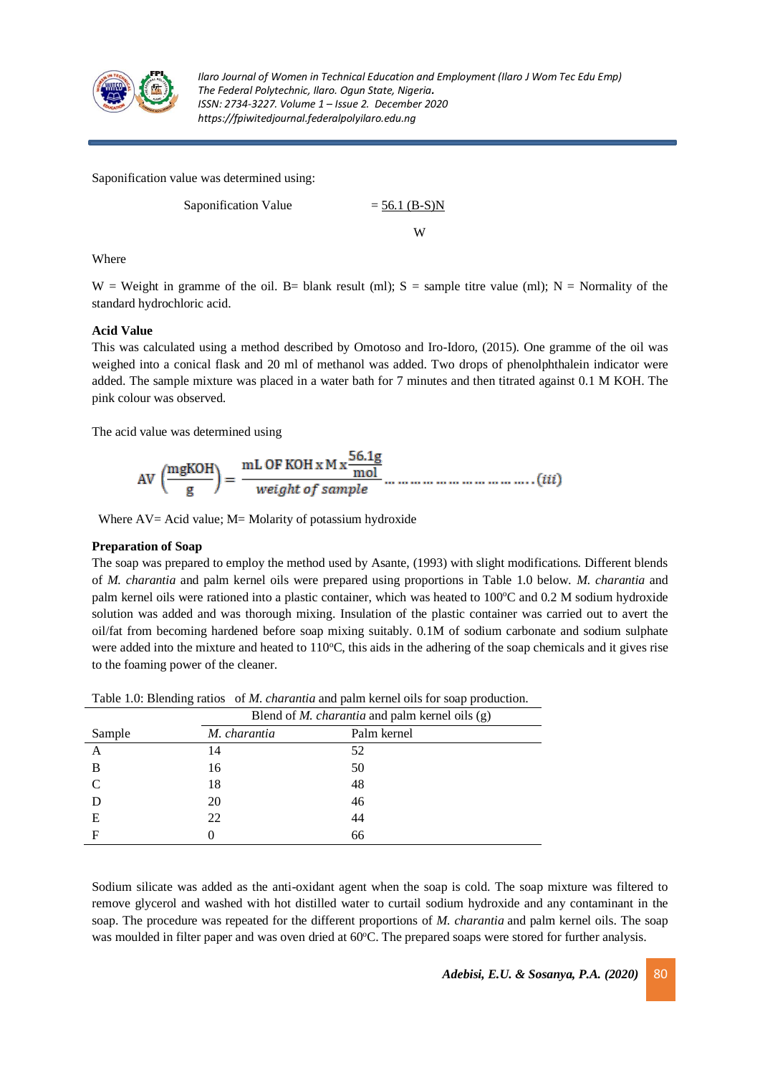

Saponification value was determined using:

Saponification Value 
$$
= \frac{56.1 \text{ (B-S)N}}{W}
$$

Where

W = Weight in gramme of the oil. B= blank result (ml);  $S =$  sample titre value (ml); N = Normality of the standard hydrochloric acid.

# **Acid Value**

This was calculated using a method described by Omotoso and Iro-Idoro, (2015). One gramme of the oil was weighed into a conical flask and 20 ml of methanol was added. Two drops of phenolphthalein indicator were added. The sample mixture was placed in a water bath for 7 minutes and then titrated against 0.1 M KOH. The pink colour was observed.

The acid value was determined using

Where AV= Acid value; M= Molarity of potassium hydroxide

# **Preparation of Soap**

The soap was prepared to employ the method used by Asante, (1993) with slight modifications. Different blends of *M. charantia* and palm kernel oils were prepared using proportions in Table 1.0 below. *M. charantia* and palm kernel oils were rationed into a plastic container, which was heated to 100°C and 0.2 M sodium hydroxide solution was added and was thorough mixing. Insulation of the plastic container was carried out to avert the oil/fat from becoming hardened before soap mixing suitably. 0.1M of sodium carbonate and sodium sulphate were added into the mixture and heated to  $110^{\circ}$ C, this aids in the adhering of the soap chemicals and it gives rise to the foaming power of the cleaner.

|           | Blend of <i>M. charantia</i> and palm kernel oils (g) |             |  |  |
|-----------|-------------------------------------------------------|-------------|--|--|
| Sample    | M. charantia                                          | Palm kernel |  |  |
| A         | 14                                                    | 52          |  |  |
| B         | 16                                                    | 50          |  |  |
| $\subset$ | 18                                                    | 48          |  |  |
|           | 20                                                    | 46          |  |  |
| Е         | 22                                                    | 44          |  |  |
| F         |                                                       | 66          |  |  |

Table 1.0: Blending ratios of *M. charantia* and palm kernel oils for soap production.

Sodium silicate was added as the anti-oxidant agent when the soap is cold. The soap mixture was filtered to remove glycerol and washed with hot distilled water to curtail sodium hydroxide and any contaminant in the soap. The procedure was repeated for the different proportions of *M. charantia* and palm kernel oils. The soap was moulded in filter paper and was oven dried at 60°C. The prepared soaps were stored for further analysis.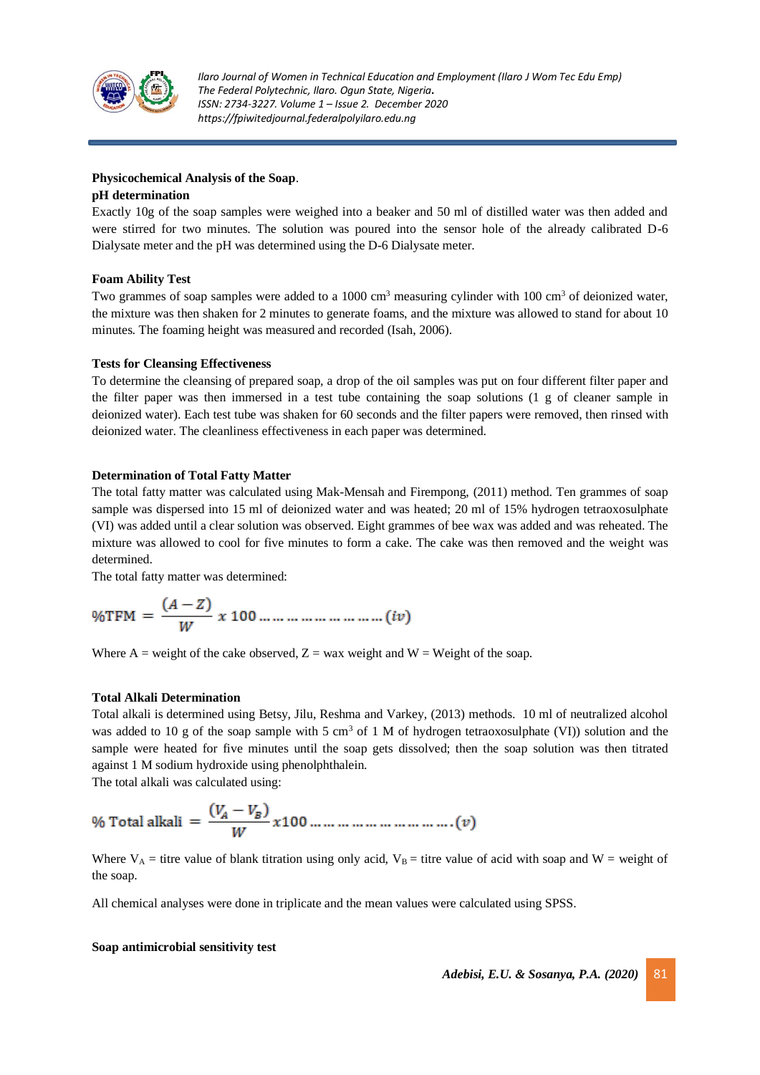

### **Physicochemical Analysis of the Soap**.

#### **pH determination**

Exactly 10g of the soap samples were weighed into a beaker and 50 ml of distilled water was then added and were stirred for two minutes. The solution was poured into the sensor hole of the already calibrated D-6 Dialysate meter and the pH was determined using the D-6 Dialysate meter.

# **Foam Ability Test**

Two grammes of soap samples were added to a 1000 cm<sup>3</sup> measuring cylinder with 100 cm<sup>3</sup> of deionized water, the mixture was then shaken for 2 minutes to generate foams, and the mixture was allowed to stand for about 10 minutes. The foaming height was measured and recorded (Isah, 2006).

#### **Tests for Cleansing Effectiveness**

To determine the cleansing of prepared soap, a drop of the oil samples was put on four different filter paper and the filter paper was then immersed in a test tube containing the soap solutions (1 g of cleaner sample in deionized water). Each test tube was shaken for 60 seconds and the filter papers were removed, then rinsed with deionized water. The cleanliness effectiveness in each paper was determined.

# **Determination of Total Fatty Matter**

The total fatty matter was calculated using Mak-Mensah and Firempong, (2011) method. Ten grammes of soap sample was dispersed into 15 ml of deionized water and was heated; 20 ml of 15% hydrogen tetraoxosulphate (VI) was added until a clear solution was observed. Eight grammes of bee wax was added and was reheated. The mixture was allowed to cool for five minutes to form a cake. The cake was then removed and the weight was determined.

The total fatty matter was determined:

Where A = weight of the cake observed,  $Z =$  wax weight and W = Weight of the soap.

#### **Total Alkali Determination**

Total alkali is determined using Betsy, Jilu, Reshma and Varkey, (2013) methods. 10 ml of neutralized alcohol was added to 10 g of the soap sample with 5 cm<sup>3</sup> of 1 M of hydrogen tetraoxosulphate (VI)) solution and the sample were heated for five minutes until the soap gets dissolved; then the soap solution was then titrated against 1 M sodium hydroxide using phenolphthalein.

The total alkali was calculated using:

% Total alkali = 
$$
\frac{(V_A - V_B)}{W} \times 100 \dots \dots \dots \dots \dots \dots \dots \dots \dots (v)
$$

Where  $V_A$  = titre value of blank titration using only acid,  $V_B$  = titre value of acid with soap and W = weight of the soap.

All chemical analyses were done in triplicate and the mean values were calculated using SPSS.

#### **Soap antimicrobial sensitivity test**

*Adebisi, E.U. & Sosanya, P.A. (2020)*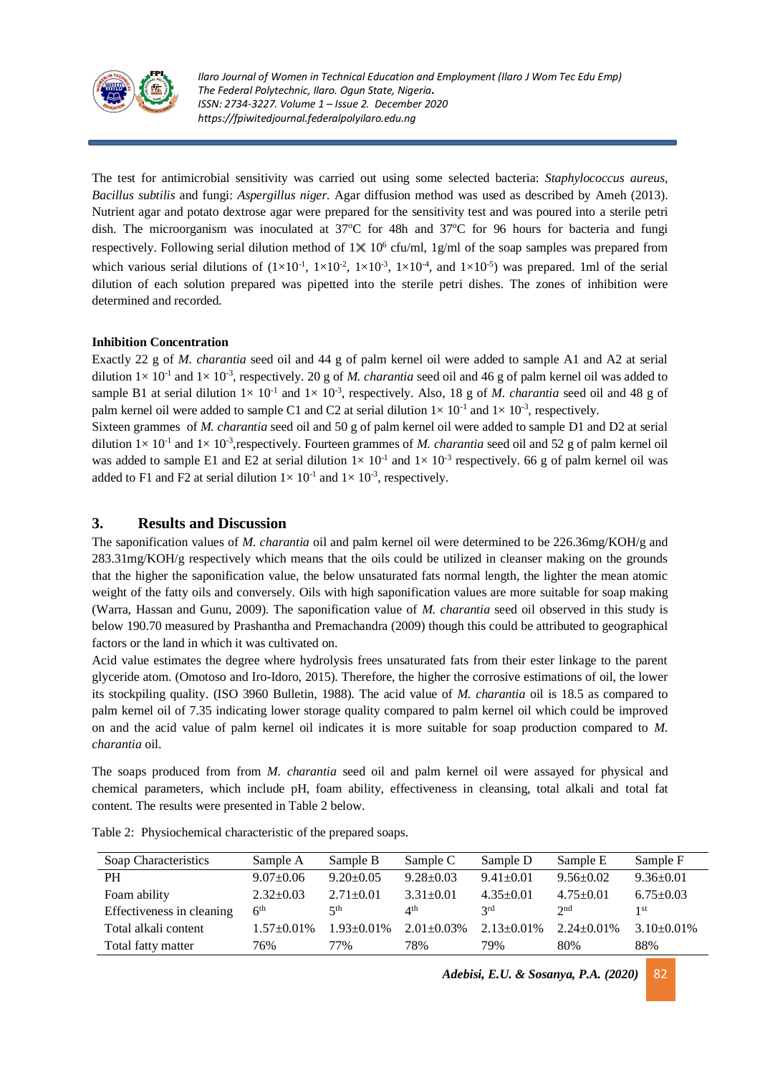

The test for antimicrobial sensitivity was carried out using some selected bacteria: *Staphylococcus aureus*, *Bacillus subtilis* and fungi: *Aspergillus niger.* Agar diffusion method was used as described by Ameh (2013). Nutrient agar and potato dextrose agar were prepared for the sensitivity test and was poured into a sterile petri dish. The microorganism was inoculated at  $37^{\circ}$ C for 48h and  $37^{\circ}$ C for 96 hours for bacteria and fungi respectively. Following serial dilution method of  $1 \times 10^6$  cfu/ml, 1g/ml of the soap samples was prepared from which various serial dilutions of  $(1 \times 10^{-1}, 1 \times 10^{-2}, 1 \times 10^{-3}, 1 \times 10^{-4},$  and  $1 \times 10^{-5}$ ) was prepared. 1ml of the serial dilution of each solution prepared was pipetted into the sterile petri dishes. The zones of inhibition were determined and recorded.

# **Inhibition Concentration**

Exactly 22 g of *M. charantia* seed oil and 44 g of palm kernel oil were added to sample A1 and A2 at serial dilution  $1 \times 10^{-1}$  and  $1 \times 10^{-3}$ , respectively. 20 g of *M. charantia* seed oil and 46 g of palm kernel oil was added to sample B1 at serial dilution  $1 \times 10^{-1}$  and  $1 \times 10^{-3}$ , respectively. Also, 18 g of *M. charantia* seed oil and 48 g of palm kernel oil were added to sample C1 and C2 at serial dilution  $1 \times 10^{-1}$  and  $1 \times 10^{-3}$ , respectively.

Sixteen grammes of *M. charantia* seed oil and 50 g of palm kernel oil were added to sample D1 and D2 at serial dilution  $1 \times 10^{-1}$  and  $1 \times 10^{-3}$ , respectively. Fourteen grammes of *M. charantia* seed oil and 52 g of palm kernel oil was added to sample E1 and E2 at serial dilution  $1 \times 10^{-1}$  and  $1 \times 10^{-3}$  respectively. 66 g of palm kernel oil was added to F1 and F2 at serial dilution  $1 \times 10^{-1}$  and  $1 \times 10^{-3}$ , respectively.

# **3. Results and Discussion**

The saponification values of *M*. *charantia* oil and palm kernel oil were determined to be 226.36mg/KOH/g and 283.31mg/KOH/g respectively which means that the oils could be utilized in cleanser making on the grounds that the higher the saponification value, the below unsaturated fats normal length, the lighter the mean atomic weight of the fatty oils and conversely. Oils with high saponification values are more suitable for soap making (Warra, Hassan and Gunu, 2009). The saponification value of *M. charantia* seed oil observed in this study is below 190.70 measured by Prashantha and Premachandra (2009) though this could be attributed to geographical factors or the land in which it was cultivated on.

Acid value estimates the degree where hydrolysis frees unsaturated fats from their ester linkage to the parent glyceride atom. (Omotoso and Iro-Idoro, 2015). Therefore, the higher the corrosive estimations of oil, the lower its stockpiling quality. (ISO 3960 Bulletin, 1988). The acid value of *M. charantia* oil is 18.5 as compared to palm kernel oil of 7.35 indicating lower storage quality compared to palm kernel oil which could be improved on and the acid value of palm kernel oil indicates it is more suitable for soap production compared to *M. charantia* oil.

The soaps produced from from *M. charantia* seed oil and palm kernel oil were assayed for physical and chemical parameters, which include pH, foam ability, effectiveness in cleansing, total alkali and total fat content. The results were presented in Table 2 below.

| Soap Characteristics      | Sample A          | Sample B          | Sample C          | Sample D          | Sample E          | Sample F        |
|---------------------------|-------------------|-------------------|-------------------|-------------------|-------------------|-----------------|
| PН                        | $9.07 \pm 0.06$   | $9.20 \pm 0.05$   | $9.28 \pm 0.03$   | $9.41 \pm 0.01$   | $9.56 \pm 0.02$   | $9.36 \pm 0.01$ |
| Foam ability              | $2.32 \pm 0.03$   | $2.71 \pm 0.01$   | $3.31 \pm 0.01$   | $4.35 \pm 0.01$   | $4.75 + 0.01$     | $6.75 \pm 0.03$ |
| Effectiveness in cleaning | 6 <sup>th</sup>   | $\leq$ th         | 4 <sup>th</sup>   | 2rd               | 2 <sub>nd</sub>   | 1 st            |
| Total alkali content      | $1.57 \pm 0.01\%$ | $1.93 \pm 0.01\%$ | $2.01 \pm 0.03\%$ | $2.13 \pm 0.01\%$ | $2.24 \pm 0.01\%$ | $3.10\pm0.01\%$ |
| Total fatty matter        | 76%               | 77%               | 78%               | 79%               | 80%               | 88%             |

Table 2: Physiochemical characteristic of the prepared soaps.

*Adebisi, E.U. & Sosanya, P.A. (2020)*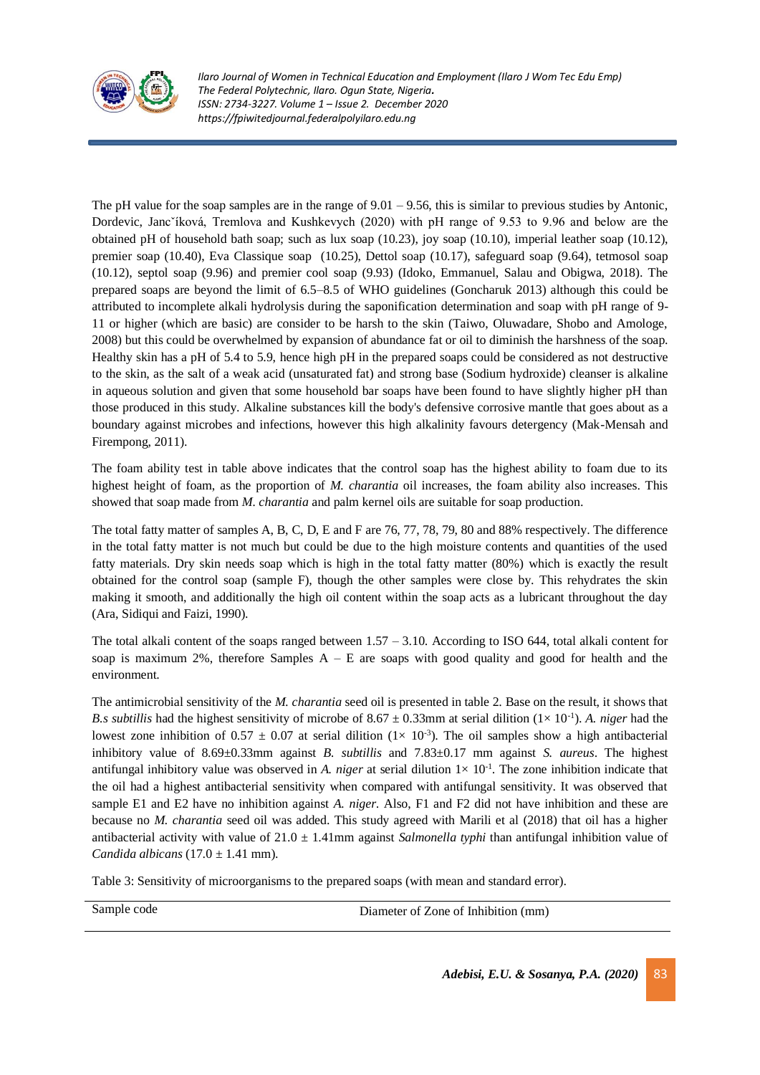

The pH value for the soap samples are in the range of  $9.01 - 9.56$ , this is similar to previous studies by Antonic, Dordevic, Jancˇíková, Tremlova and Kushkevych (2020) with pH range of 9.53 to 9.96 and below are the obtained pH of household bath soap; such as lux soap (10.23), joy soap (10.10), imperial leather soap (10.12), premier soap (10.40), Eva Classique soap (10.25), Dettol soap (10.17), safeguard soap (9.64), tetmosol soap (10.12), septol soap (9.96) and premier cool soap (9.93) (Idoko, Emmanuel, Salau and Obigwa, 2018). The prepared soaps are beyond the limit of 6.5–8.5 of WHO guidelines (Goncharuk 2013) although this could be attributed to incomplete alkali hydrolysis during the saponification determination and soap with pH range of 9- 11 or higher (which are basic) are consider to be harsh to the skin (Taiwo, Oluwadare, Shobo and Amologe, 2008) but this could be overwhelmed by expansion of abundance fat or oil to diminish the harshness of the soap. Healthy skin has a pH of 5.4 to 5.9, hence high pH in the prepared soaps could be considered as not destructive to the skin, as the salt of a weak acid (unsaturated fat) and strong base (Sodium hydroxide) cleanser is alkaline in aqueous solution and given that some household bar soaps have been found to have slightly higher pH than those produced in this study. Alkaline substances kill the body's defensive corrosive mantle that goes about as a boundary against microbes and infections, however this high alkalinity favours detergency (Mak-Mensah and Firempong, 2011).

The foam ability test in table above indicates that the control soap has the highest ability to foam due to its highest height of foam, as the proportion of *M. charantia* oil increases, the foam ability also increases. This showed that soap made from *M. charantia* and palm kernel oils are suitable for soap production.

The total fatty matter of samples A, B, C, D, E and F are 76, 77, 78, 79, 80 and 88% respectively. The difference in the total fatty matter is not much but could be due to the high moisture contents and quantities of the used fatty materials. Dry skin needs soap which is high in the total fatty matter (80%) which is exactly the result obtained for the control soap (sample F), though the other samples were close by. This rehydrates the skin making it smooth, and additionally the high oil content within the soap acts as a lubricant throughout the day (Ara, Sidiqui and Faizi, 1990).

The total alkali content of the soaps ranged between  $1.57 - 3.10$ . According to ISO 644, total alkali content for soap is maximum 2%, therefore Samples  $A - E$  are soaps with good quality and good for health and the environment.

The antimicrobial sensitivity of the *M. charantia* seed oil is presented in table 2. Base on the result, it shows that *B.s subtillis* had the highest sensitivity of microbe of  $8.67 \pm 0.33$ mm at serial dilition  $(1 \times 10^{-1})$ . *A. niger* had the lowest zone inhibition of  $0.57 \pm 0.07$  at serial dilition  $(1 \times 10^{-3})$ . The oil samples show a high antibacterial inhibitory value of 8.69±0.33mm against *B. subtillis* and 7.83±0.17 mm against *S. aureus*. The highest antifungal inhibitory value was observed in *A. niger* at serial dilution  $1 \times 10^{-1}$ . The zone inhibition indicate that the oil had a highest antibacterial sensitivity when compared with antifungal sensitivity. It was observed that sample E1 and E2 have no inhibition against *A. niger*. Also, F1 and F2 did not have inhibition and these are because no *M. charantia* seed oil was added. This study agreed with Marili et al (2018) that oil has a higher antibacterial activity with value of 21.0 ± 1.41mm against *Salmonella typhi* than antifungal inhibition value of *Candida albicans* (17.0 ± 1.41 mm).

Table 3: Sensitivity of microorganisms to the prepared soaps (with mean and standard error).

Sample code Diameter of Zone of Inhibition (mm)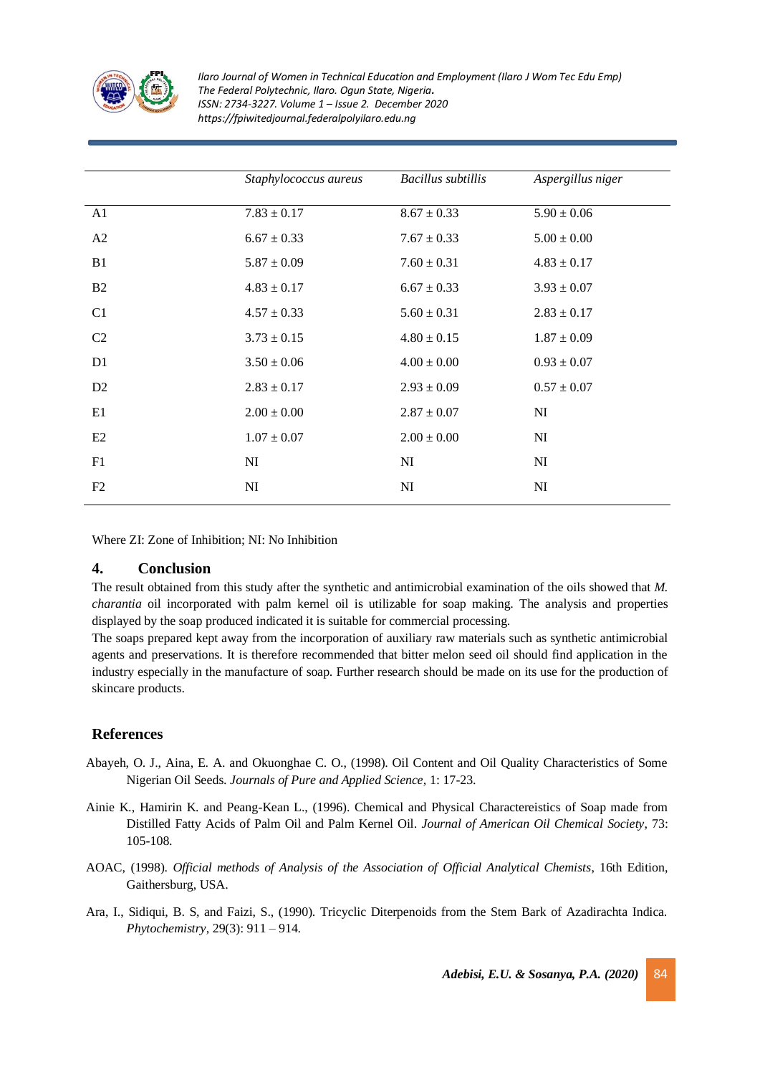

|                | Staphylococcus aureus | Bacillus subtillis | Aspergillus niger |
|----------------|-----------------------|--------------------|-------------------|
| A1             | $7.83 \pm 0.17$       | $8.67 \pm 0.33$    | $5.90 \pm 0.06$   |
| A2             | $6.67 \pm 0.33$       | $7.67 \pm 0.33$    | $5.00\pm0.00$     |
| B1             | $5.87 \pm 0.09$       | $7.60 \pm 0.31$    | $4.83 \pm 0.17$   |
| B <sub>2</sub> | $4.83 \pm 0.17$       | $6.67 \pm 0.33$    | $3.93 \pm 0.07$   |
| C1             | $4.57 \pm 0.33$       | $5.60 \pm 0.31$    | $2.83 \pm 0.17$   |
| C <sub>2</sub> | $3.73 \pm 0.15$       | $4.80 \pm 0.15$    | $1.87 \pm 0.09$   |
| D <sub>1</sub> | $3.50 \pm 0.06$       | $4.00 \pm 0.00$    | $0.93 \pm 0.07$   |
| D <sub>2</sub> | $2.83 \pm 0.17$       | $2.93 \pm 0.09$    | $0.57 \pm 0.07$   |
| E1             | $2.00 \pm 0.00$       | $2.87 \pm 0.07$    | NI                |
| E2             | $1.07 \pm 0.07$       | $2.00 \pm 0.00$    | NI                |
| F1             | NI                    | NI                 | NI                |
| F2             | NI                    | NI                 | NI                |

Where ZI: Zone of Inhibition; NI: No Inhibition

# **4. Conclusion**

The result obtained from this study after the synthetic and antimicrobial examination of the oils showed that *M. charantia* oil incorporated with palm kernel oil is utilizable for soap making. The analysis and properties displayed by the soap produced indicated it is suitable for commercial processing.

The soaps prepared kept away from the incorporation of auxiliary raw materials such as synthetic antimicrobial agents and preservations. It is therefore recommended that bitter melon seed oil should find application in the industry especially in the manufacture of soap. Further research should be made on its use for the production of skincare products.

# **References**

- Abayeh, O. J., Aina, E. A. and Okuonghae C. O., (1998). Oil Content and Oil Quality Characteristics of Some Nigerian Oil Seeds. *Journals of Pure and Applied Science,* 1: 17-23.
- Ainie K., Hamirin K. and Peang-Kean L., (1996). Chemical and Physical Charactereistics of Soap made from Distilled Fatty Acids of Palm Oil and Palm Kernel Oil. *Journal of American Oil Chemical Society*, 73: 105-108.
- AOAC, (1998). *Official methods of Analysis of the Association of Official Analytical Chemists*, 16th Edition, Gaithersburg, USA.
- Ara, I., Sidiqui, B. S, and Faizi, S., (1990). Tricyclic Diterpenoids from the Stem Bark of Azadirachta Indica. *Phytochemistry*, 29(3): 911 – 914.